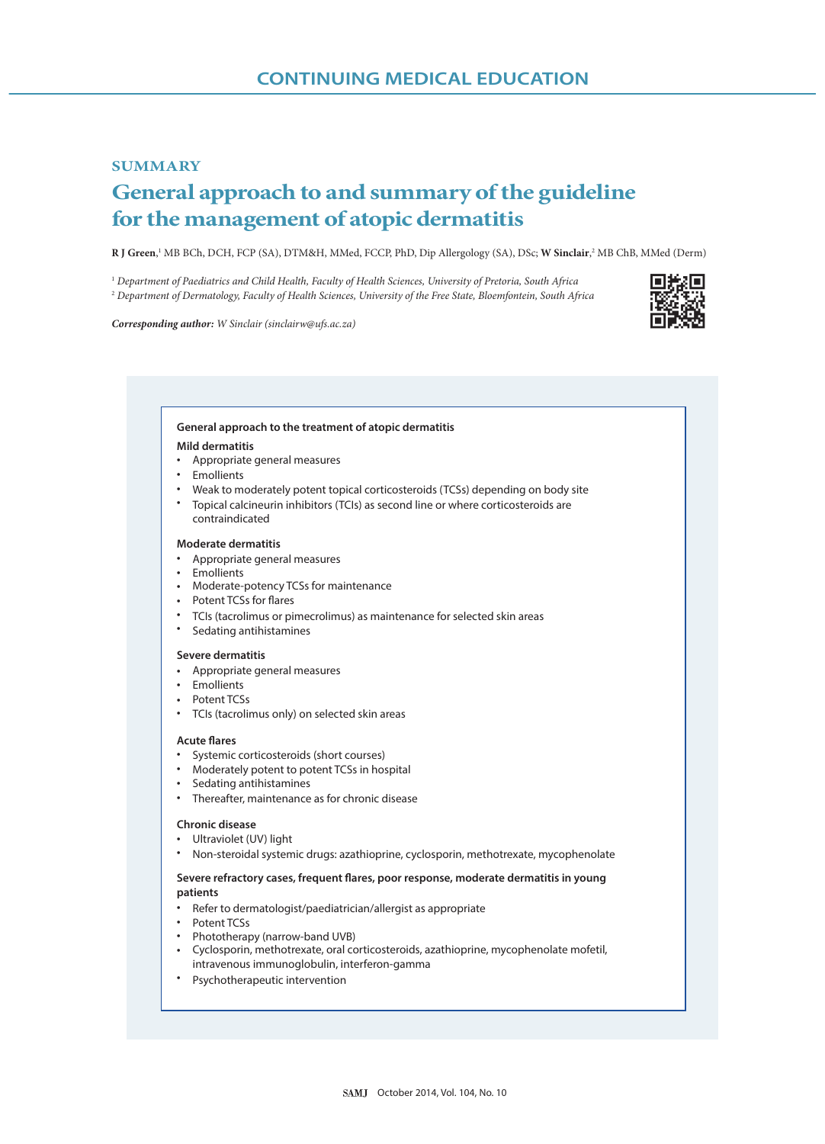## **SUMMARY General approach to and summary of the guideline for the management of atopic dermatitis**

 $R$  J Green,<sup>1</sup> MB BCh, DCH, FCP (SA), DTM&H, MMed, FCCP, PhD, Dip Allergology (SA), DSc; **W Sinclair**,<sup>2</sup> MB ChB, MMed (Derm)

<sup>1</sup> *Department of Paediatrics and Child Health, Faculty of Health Sciences, University of Pretoria, South Africa* <sup>2</sup> *Department of Dermatology, Faculty of Health Sciences, University of the Free State, Bloemfontein, South Africa*

*Corresponding author: W Sinclair (sinclairw@ufs.ac.za)*



## **•** Appropriate general measures **•** Emollients **•** Weak to moderately potent topical corticosteroids (TCSs) depending on body site **•** Topical calcineurin inhibitors (TCIs) as second line or where corticosteroids are **General approach to the treatment of atopic dermatitis Mild dermatitis Moderate dermatitis Severe dermatitis Acute flares Chronic disease** Severe refractory cases, frequent flares, poor response, moderate dermatitis in young **patients** contraindicated Appropriate general measures **•** Emollients **•** Emollients **•** Appropriate general measures **• •** Moderate-potency TCSs for maintenance • Potent TCSs for flares **•** TCIs (tacrolimus or pimecrolimus) as maintenance for selected skin areas **•** Sedating antihistamines **•** Potent TCSs **•** TCIs (tacrolimus only) on selected skin areas **•** Systemic corticosteroids (short courses) **• • •** Thereafter, maintenance as for chronic disease **•** Ultraviolet (UV) light **• •** Refer to dermatologist/paediatrician/allergist as appropriate **•** Potent TCSs **•** Phototherapy (narrow-band UVB) **•** Cyclosporin, methotrexate, oral corticosteroids, azathioprine, mycophenolate mofetil, **•** Psychotherapeutic interventionModerately potent to potent TCSs in hospital Sedating antihistamines Non-steroidal systemic drugs: azathioprine, cyclosporin, methotrexate, mycophenolate intravenous immunoglobulin, interferon-gamma